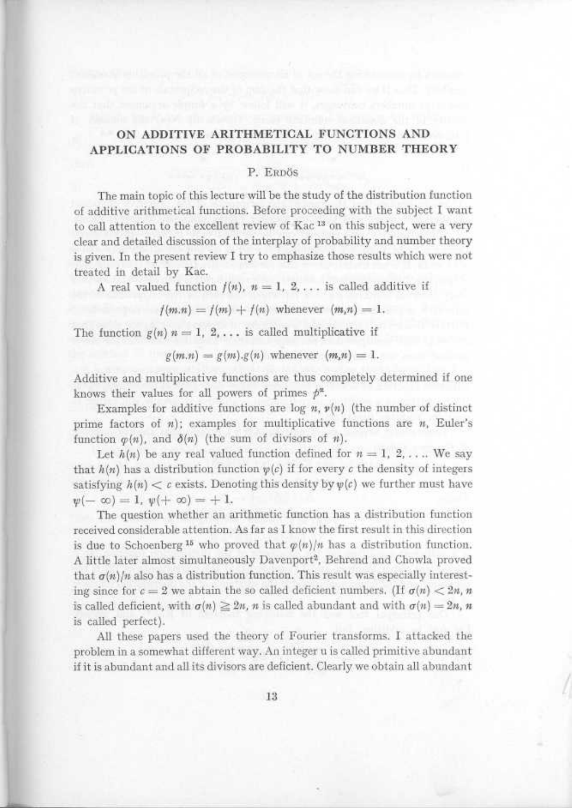## ON ADDITIVE ARITHMETICAL FUNCTIONS AND APPLICATIONS OF PROBABILITY TO NUMBER THEORY

## P. ERDÖS

The main topic of this lecture will be the study of the distribution function of additive arithmetical functions . Before proceeding with the subject I want to call attention to the excellent review of Kac<sup>13</sup> on this subject, were a very clear and detailed discussion of the interplay of probability and number theory is given. In the present review I try to emphasize those results which were not treated in detail by Kac.

A real valued function  $f(n)$ ,  $n = 1, 2, \ldots$  is called additive if

 $f(m,n) = f(m) + f(n)$  whenever  $(m,n) = 1$ .

The function  $g(n)$   $n = 1, 2, \ldots$  is called multiplicative if

 $g(m,n) = g(m) \cdot g(n)$  whenever  $(m,n) = 1$ .

Additive and multiplicative functions are thus completely determined if one knows their values for all powers of primes  $p^{\alpha}$ .

Examples for additive functions are log  $n$ ,  $\nu(n)$  (the number of distinct prime factors of  $n$ ); examples for multiplicative functions are  $n$ , Euler's function  $\varphi(n)$ , and  $\delta(n)$  (the sum of divisors of n).

Let  $h(n)$  be any real valued function defined for  $n = 1, 2, \ldots$  We say that  $h(n)$  has a distribution function  $\psi(c)$  if for every c the density of integers satisfying  $h(n) < c$  exists. Denoting this density by  $\psi(c)$  we further must have  $y(-\infty)=1, y(+\infty)=+1.$ 

The question whether an arithmetic function has a distribution function received considerable attention . As far as I know the first result in this direction is due to Schoenberg<sup>15</sup> who proved that  $\varphi(n)/n$  has a distribution function. A little later almost simultaneously Davenport<sup>2</sup>, Behrend and Chowla proved that  $\sigma(n)/n$  also has a distribution function. This result was especially interesting since for  $c = 2$  we abtain the so called deficient numbers. (If  $\sigma(n) < 2n$ , n is called deficient, with  $\sigma(n) \ge 2n$ , n is called abundant and with  $\sigma(n) = 2n$ , n is called perfect).

All these papers used the theory of Fourier transforms. I attacked the problem in a somewhat different way . An integer u is called primitive abundant if it is abundant and all its divisors are deficient . Clearly we obtain all abundant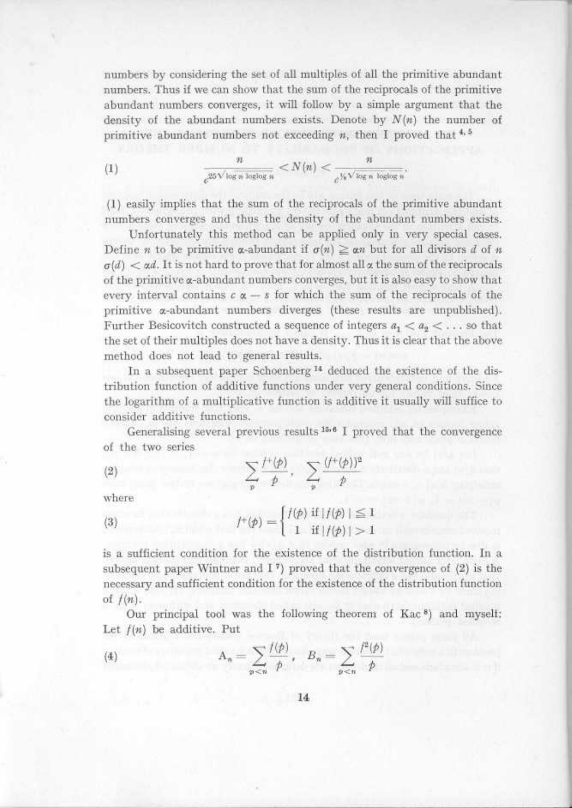numbers by considering the set of all multiples of all the primitive abundant numbers. Thus if we can show that the sum of the reciprocals of the primitive abundant numbers converges, it will follow by a simple argument that the density of the abundant numbers exists. Denote by  $N(n)$  the number of 

primitive abundant numbers not exceeding *n*, then I proved that 
$$
\star
$$
 or (1) 
$$
\frac{n}{e^{25\sqrt{\log n \log\log n}}} < N(n) < \frac{n}{e^{\frac{1}{26}\sqrt{\log n \log\log n}}}.
$$

(1) easily implies that the sum of the reciprocals of the primitive abundant numbers converges and thus the density of the abundant numbers exists .

Unfortunately this method can be applied only in very special cases. Define *n* to be primitive *a*-abundant if  $\sigma(n) \geq \alpha n$  but for all divisors *d* of *n*  $\sigma(d) < \alpha d$ . It is not hard to prove that for almost all  $\alpha$  the sum of the reciprocals of the primitive a-abundant numbers converges, but it is also easy to show that every interval contains  $c \alpha - s$  for which the sum of the reciprocals of the primitive *a*-abundant numbers diverges (these results are unpublished). Further Besicovitch constructed a sequence of integers  $a_1 < a_2 < \ldots$  so that the set of their multiples does not have a density . Thus it is clear that the above method does not lead to general results.

In a subsequent paper Schoenberg <sup>14</sup> deduced the existence of the distribution function of additive functions under very general conditions . Since the logarithm of a multiplicative function is additive it usually will suffice to consider additive functions.

Generalising several previous results  $15.6$  I proved that the convergence of the two series

$$
\sum_{p} \frac{f^{+}(p)}{p}, \quad \sum_{p} \frac{(f^{+}(p))^2}{p}
$$

where

 

Gw-

(3) 
$$
f^{+}(p) = \begin{cases} f(p) & \text{if } |f(p)| \leq 1 \\ 1 & \text{if } |f(p)| > 1 \end{cases}
$$

is a sufficient condition for the existence of the distribution function . In a subsequent paper Wintner and  $I^7$ ) proved that the convergence of  $(2)$  is the necessary and sufficient condition for the existence of the distribution function of  $f(n)$ .

Our principal tool was the following theorem of Kac<sup>8</sup>) and myself: Let  $f(n)$  be additive. Put

$$
\text{(4)} \qquad \qquad \mathcal{A}_n = \sum_{p < n} \frac{I(p)}{p}, \quad B_n = \sum_{p < n} \frac{I^2(p)}{p}
$$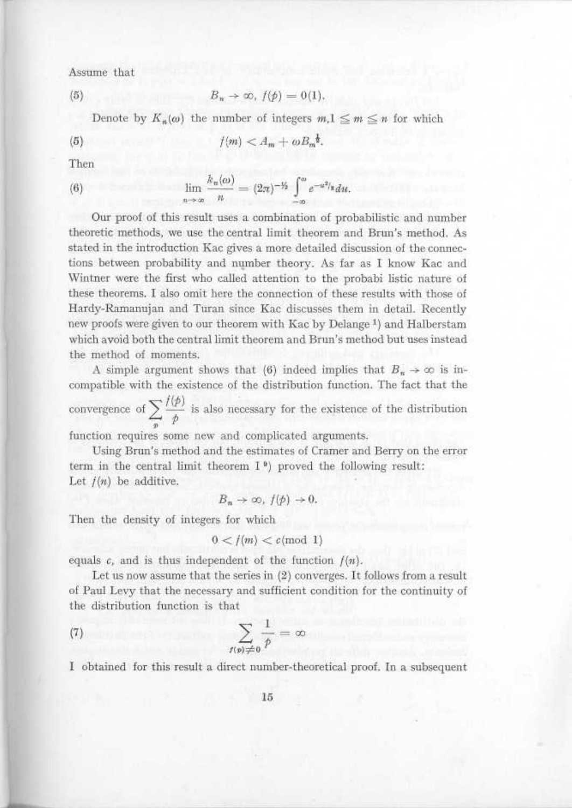Assume that

$$
B_n \to \infty, f(\phi) = 0(1),
$$

Denote by  $K_n(\omega)$  the number of integers  $m, 1 \leq m \leq n$  for which

(5 ) f(m) < Am + wBj.

Then

 $(5)$ 

I T

(6) 
$$
\lim_{n \to \infty} \frac{k_n(\omega)}{n} = (2\pi)^{-\frac{1}{2}} \int_{-\infty}^{\omega} e^{-u^2/t} du.
$$

Our proof of this result uses a combination of probabilistic and number theoretic methods, we use the central limit theorem and Brun's method . As stated in the introduction Kac gives a more detailed discussion of the connections between probability and number theory . As far as I know Kac and Wintner were the first who called attention to the probabi listic nature of these theorems . I also omit here the connection of these results with those of Hardy-Ramanujan and Turan since Kac discusses them in detail . Recently new proofs were given to our theorem with Kac by Delange<sup>1</sup>) and Halberstam which avoid both the central limit theorem and Brun's method but uses instead the method of moments.

A simple argument shows that (6) indeed implies that  $B_n \to \infty$  is incompatible with the existence of the distribution function . The fact that the convergence of  $\sum_{i=1}^{\infty}$  is also necessary for the existence of the distribution

function requires some new and complicated arguments.

Using Brun's method and the estimates of Cramer and Berry on the error term in the central limit theorem  $I^{\theta}$  proved the following result: Let  $f(n)$  be additive.

$$
B_n \to \infty, f(\phi) \to 0.
$$

Then the density of integers for which

$$
0 < f(m) < c \pmod{1}
$$

equals c, and is thus independent of the function  $f(n)$ .

Let us now assume that the series in (2) converges . It follows from a result of Paul Levy that the necessary and sufficient condition for the continuity of the distribution function is that

(7) 
$$
\sum_{f(p)\neq 0} \frac{1}{p} = \infty
$$

I obtained for this result a direct number-theoretical proof. In a subsequent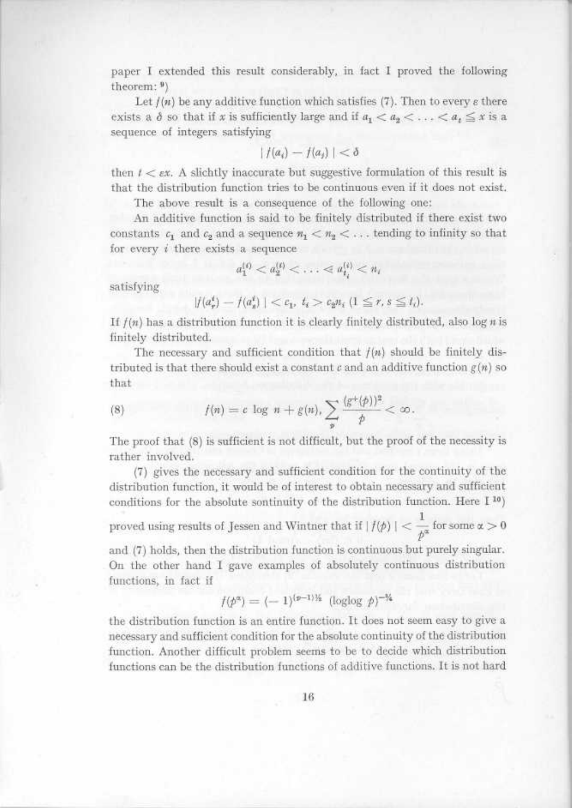paper I extended this result considerably, in fact I proved the following theorem : <sup>9</sup> ) ri ar

> Let  $f(n)$  be any additive function which satisfies (7). Then to every  $\varepsilon$  there exists a  $\delta$  so that if x is sufficiently large and if  $a_1 < a_2 < \ldots < a_t \leq x$  is a sequence of integers satisfying

$$
|f(a_i)-f(a_j)|<\delta
$$

then  $t < \epsilon x$ . A slichtly inaccurate but suggestive formulation of this result is that the distribution function tries to be continuous even if it does not exist.

The above result is a consequence of the following one:

An additive function is said to be finitely distributed if there exist two constants  $c_1$  and  $c_2$  and a sequence  $n_1 < n_2 < \ldots$  tending to infinity so that for every  $i$  there exists a sequence

$$
a_1^{(i)} < a_2^{(i)} < \ldots < a_{t_i}^{(i)} < n_i
$$

satisfying

ra j

$$
|f(a_r^t) - f(a_s^t)| < c_1, \ t_i > c_2 n_i \ (1 \leq r, s \leq t_i).
$$

If  $f(n)$  has a distribution function it is clearly finitely distributed, also log n is finitely distributed.

The necessary and sufficient condition that  $f(n)$  should be finitely distributed is that there should exist a constant  $c$  and an additive function  $g(n)$  so that  $\begin{array}{ccc} & \text{s} & \text{if} & \text{if} & \text{if} & \text{if} & \text{if} & \text{if} & \text{if} & \text{if} & \text{if} & \text{if} & \text{if} & \text{if} & \text{if} & \text{if} & \text{if} & \text{if} & \text{if} & \text{if} & \text{if} & \text{if} & \text{if} & \text{if} & \text{if} & \text{if} & \text{if} & \text{if} & \text{if} & \text{if} & \text{if} & \text{if} & \text{if} & \text{if} & \text{if} & \text{if} & \text{$ 

(8) 
$$
f(n) = c \log n + g(n), \sum_{p} \frac{(g^{+}(p))^2}{p} < \infty.
$$

The proof that (8) is sufficient is not difficult, but the proof of the necessity is rather involved.

(7) gives the necessary and sufficient condition for the continuity of the distribution function, it would be of interest to obtain necessary and sufficient conditions for the absolute sontinuity of the distribution function. Here  $1^{10}$ )

proved using results of Jessen and Wintner that if  $|f(\phi)| < \frac{1}{\log n}$  for some  $\alpha > 0$  $\cdot$   $\cdot$ 

and (7) holds, then the distribution function is continuous but purely singular . On the other hand I gave examples of absolutely continuous distribution functions, in fact if

$$
f(p^{\alpha}) = (-1)^{(p-1) \frac{1}{2}} (\log \log p)^{-\frac{3}{4}}
$$

the distribution function is an entire function . It does not seem easy to give a necessary and sufficient condition for the absolute continuity of the distribution function . Another difficult problem seems to be to decide which distribution functions can be the distribution functions of additive functions . It is not hard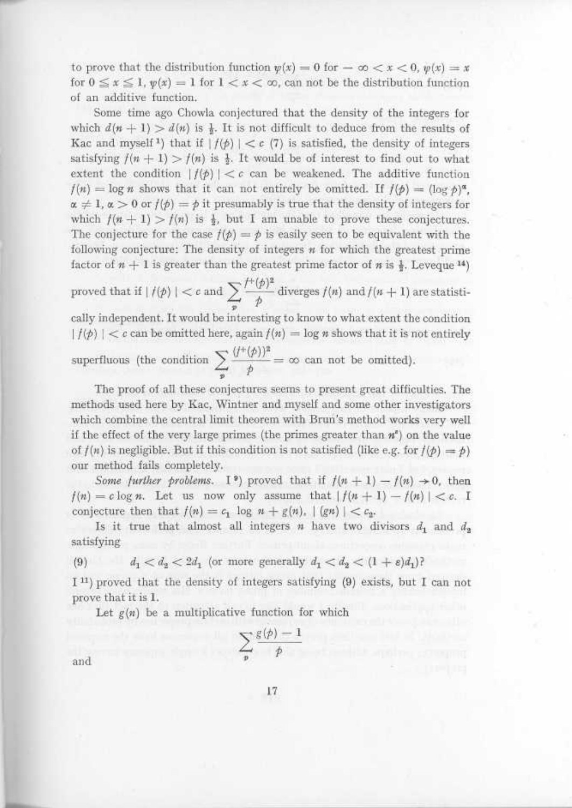to prove that the distribution function  $\psi(x) = 0$  for  $-\infty < x < 0$ ,  $\psi(x) = x$ for  $0 \le x \le 1$ ,  $\psi(x) = 1$  for  $1 < x < \infty$ , can not be the distribution function of an additive function .

Some time ago Chowla conjectured that the density of the integers for which  $d(n + 1) > d(n)$  is  $\frac{1}{2}$ . It is not difficult to deduce from the results of Kac and myself<sup>1</sup>) that if  $| f(\phi) | < c$  (7) is satisfied, the density of integers satisfying  $f(n + 1) > f(n)$  is  $\frac{1}{2}$ . It would be of interest to find out to what extent the condition  $| f(\phi) | < \epsilon$  can be weakened. The additive function  $f(n) = \log n$  shows that it can not entirely be omitted. If  $f(\phi) = (\log \phi)^{\alpha}$ ,  $\alpha \neq 1$ ,  $\alpha > 0$  or  $f(\phi) = \phi$  it presumably is true that the density of integers for which  $f(n + 1) > f(n)$  is  $\frac{1}{2}$ , but I am unable to prove these conjectures. The conjecture for the case  $f(\phi) = \phi$  is easily seen to be equivalent with the following conjecture: The density of integers  $n$  for which the greatest prime factor of  $n + 1$  is greater than the greatest prime factor of n is  $\frac{1}{2}$ . Leveque <sup>14</sup>)

proved that if 
$$
|f(\phi)| < c
$$
 and  $\sum_{p} \frac{f^{\dagger}(\phi)^2}{\phi}$  diverges  $f(n)$  and  $f(n+1)$  are statistic-

cally independent . It would be interesting to know to what extent the condition  $|f(p)| < c$  can be omitted here, again  $f(n) = \log n$  shows that it is not entirely

 $\overline{\phantom{a}}$ P

which  $f(n + 1) > f(n)$  is  $\frac{1}{2}$ , but I am unable to prove these complexes (the conjecture for the case  $f(p) = p$  is easily seen to be equivalent following conjecture: The density of integers *n* for which the great factor o The proof of all these conjectures seems to present great difficulties . The methods used here by Kac, Wintner and myself and some other investigators which combine the central limit theorem with Brun's method works very well if the effect of the very large primes (the primes greater than  $n^e$ ) on the value of  $f(n)$  is negligible. But if this condition is not satisfied (like e.g. for  $f(p) = p$ ) our method fails completely.

> Some further problems. I<sup>9</sup>) proved that if  $f(n + 1) - f(n) \rightarrow 0$ , then  $f(n) = c \log n$ . Let us now only assume that  $|f(n+1) - f(n)| < c$ . I conjecture then that  $f(n) = c_1 \log n + g(n)$ ,  $|(gn)| < c_2$ .

> Is it true that almost all integers *n* have two divisors  $d_1$  and  $d_2$ satisfying

(9)  $d_1 < d_2 < 2d_1$  (or more generally  $d_1 < d_2 < (1 + \varepsilon)d_1$ )?

1 <sup>11</sup> ) proved that the density of integers satisfying (9) exists, but I can not prove that it is 1.

Let  $g(n)$  be a multiplicative function for which

$$
\sum_{p} \frac{g(p)-1}{p}
$$

and

T.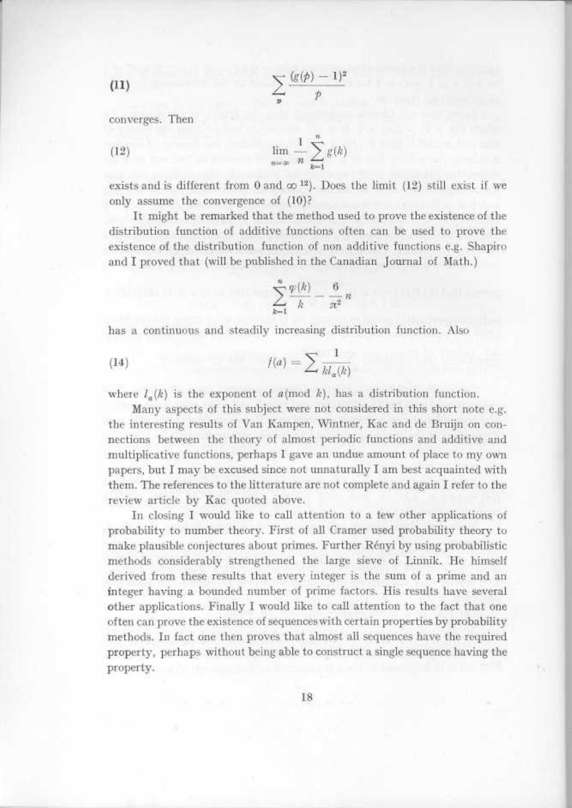$$
\sum_{\mathfrak{p}}\frac{(\mathfrak{g}(\mathfrak{p})-1)^2}{\mathfrak{p}}
$$

converges. Then

 $(11)$ 

**Republic** 

 

(12) 
$$
\lim_{n = \infty} \frac{1}{n} \sum_{k=1}^{n} g(k)
$$

exists and is different from 0 and  $\infty$  <sup>12</sup>). Does the limit (12) still exist if we only assume the convergence of (10)?

It might be remarked that the method used to prove the existence of the distribution function of additive functions often can be used to prove the existence of the distribution function of non additive functions e.g. Shapiro and I proved that (will be published in the Canadian Journal of Math.)

$$
\sum_{k=1}^n \frac{\varphi(k)}{k} - \frac{6}{\pi^2}n
$$

has a continuous and steadily increasing distribution function . Also

$$
(14) \qquad \qquad f(a) = \sum \frac{1}{kl_a(k)}
$$

where  $l_a(k)$  is the exponent of a(mod k), has a distribution function.

Many aspects of this subject were not considered in this short note e.g. the interesting results of Van Kampen, Wintner, Kac and de Bruijn on connections between the theory of almost periodic functions and additive and multiplicative functions, perhaps I gave an undue amount of place to my own papers, but I may be excused since not unnaturally I am best acquainted with them. The references to the litterature are not complete and again I refer to the review article by Kac quoted above.

In closing I would like to call attention to a few other applications of probability to number theory . First of all Cramer used probability theory to make plausible conjectures about primes . Further Rényi by using probabilistic methods considerably strengthened the large sieve of Linnik . He himself derived from these results that every integer is the sum of a prime and an integer having a bounded number of prime factors . His results have several other applications . Finally I would like to call attention to the fact that one often can prove the existence of sequences with certain properties by probability methods . In fact one then proves that almost all sequences have the required property, perhaps without being able to construct a single sequence having the property.